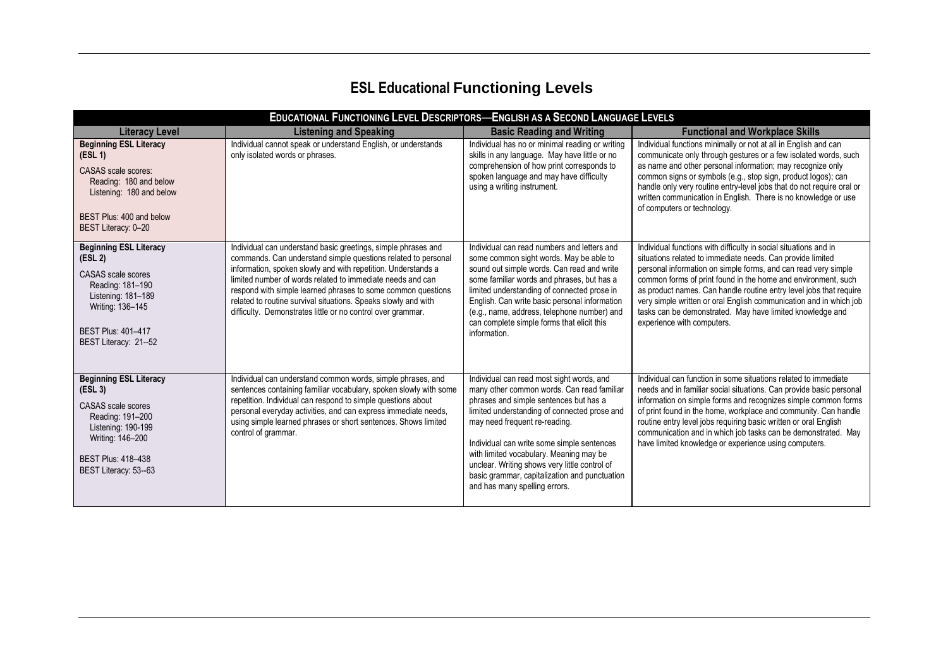## **ESL Educational Functioning Levels**

| <b>EDUCATIONAL FUNCTIONING LEVEL DESCRIPTORS-ENGLISH AS A SECOND LANGUAGE LEVELS</b>                                                                                                                  |                                                                                                                                                                                                                                                                                                                                                                                                                                                                |                                                                                                                                                                                                                                                                                                                                                                                                                                                |                                                                                                                                                                                                                                                                                                                                                                                                                                                                                                          |  |
|-------------------------------------------------------------------------------------------------------------------------------------------------------------------------------------------------------|----------------------------------------------------------------------------------------------------------------------------------------------------------------------------------------------------------------------------------------------------------------------------------------------------------------------------------------------------------------------------------------------------------------------------------------------------------------|------------------------------------------------------------------------------------------------------------------------------------------------------------------------------------------------------------------------------------------------------------------------------------------------------------------------------------------------------------------------------------------------------------------------------------------------|----------------------------------------------------------------------------------------------------------------------------------------------------------------------------------------------------------------------------------------------------------------------------------------------------------------------------------------------------------------------------------------------------------------------------------------------------------------------------------------------------------|--|
| <b>Literacy Level</b>                                                                                                                                                                                 | <b>Listening and Speaking</b>                                                                                                                                                                                                                                                                                                                                                                                                                                  | <b>Basic Reading and Writing</b>                                                                                                                                                                                                                                                                                                                                                                                                               | <b>Functional and Workplace Skills</b>                                                                                                                                                                                                                                                                                                                                                                                                                                                                   |  |
| <b>Beginning ESL Literacy</b><br>(ESL 1)<br>CASAS scale scores:<br>Reading: 180 and below<br>Listening: 180 and below<br>BEST Plus: 400 and below<br>BEST Literacy: 0-20                              | Individual cannot speak or understand English, or understands<br>only isolated words or phrases.                                                                                                                                                                                                                                                                                                                                                               | Individual has no or minimal reading or writing<br>skills in any language. May have little or no<br>comprehension of how print corresponds to<br>spoken language and may have difficulty<br>using a writing instrument.                                                                                                                                                                                                                        | Individual functions minimally or not at all in English and can<br>communicate only through gestures or a few isolated words, such<br>as name and other personal information; may recognize only<br>common signs or symbols (e.g., stop sign, product logos); can<br>handle only very routine entry-level jobs that do not require oral or<br>written communication in English. There is no knowledge or use<br>of computers or technology.                                                              |  |
| <b>Beginning ESL Literacy</b><br>(ESL <sub>2</sub> )<br><b>CASAS</b> scale scores<br>Reading: 181-190<br>Listening: 181-189<br>Writing: 136-145<br><b>BEST Plus: 401-417</b><br>BEST Literacy: 21--52 | Individual can understand basic greetings, simple phrases and<br>commands. Can understand simple questions related to personal<br>information, spoken slowly and with repetition. Understands a<br>limited number of words related to immediate needs and can<br>respond with simple learned phrases to some common questions<br>related to routine survival situations. Speaks slowly and with<br>difficulty. Demonstrates little or no control over grammar. | Individual can read numbers and letters and<br>some common sight words. May be able to<br>sound out simple words. Can read and write<br>some familiar words and phrases, but has a<br>limited understanding of connected prose in<br>English. Can write basic personal information<br>(e.g., name, address, telephone number) and<br>can complete simple forms that elicit this<br>information.                                                | Individual functions with difficulty in social situations and in<br>situations related to immediate needs. Can provide limited<br>personal information on simple forms, and can read very simple<br>common forms of print found in the home and environment, such<br>as product names. Can handle routine entry level jobs that require<br>very simple written or oral English communication and in which job<br>tasks can be demonstrated. May have limited knowledge and<br>experience with computers. |  |
| <b>Beginning ESL Literacy</b><br>(ESL <sub>3</sub> )<br>CASAS scale scores<br>Reading: 191-200<br>Listening: 190-199<br>Writing: 146-200<br><b>BEST Plus: 418-438</b><br>BEST Literacy: 53--63        | Individual can understand common words, simple phrases, and<br>sentences containing familiar vocabulary, spoken slowly with some<br>repetition. Individual can respond to simple questions about<br>personal everyday activities, and can express immediate needs,<br>using simple learned phrases or short sentences. Shows limited<br>control of grammar.                                                                                                    | Individual can read most sight words, and<br>many other common words. Can read familiar<br>phrases and simple sentences but has a<br>limited understanding of connected prose and<br>may need frequent re-reading.<br>Individual can write some simple sentences<br>with limited vocabulary. Meaning may be<br>unclear. Writing shows very little control of<br>basic grammar, capitalization and punctuation<br>and has many spelling errors. | Individual can function in some situations related to immediate<br>needs and in familiar social situations. Can provide basic personal<br>information on simple forms and recognizes simple common forms<br>of print found in the home, workplace and community. Can handle<br>routine entry level jobs requiring basic written or oral English<br>communication and in which job tasks can be demonstrated. May<br>have limited knowledge or experience using computers.                                |  |